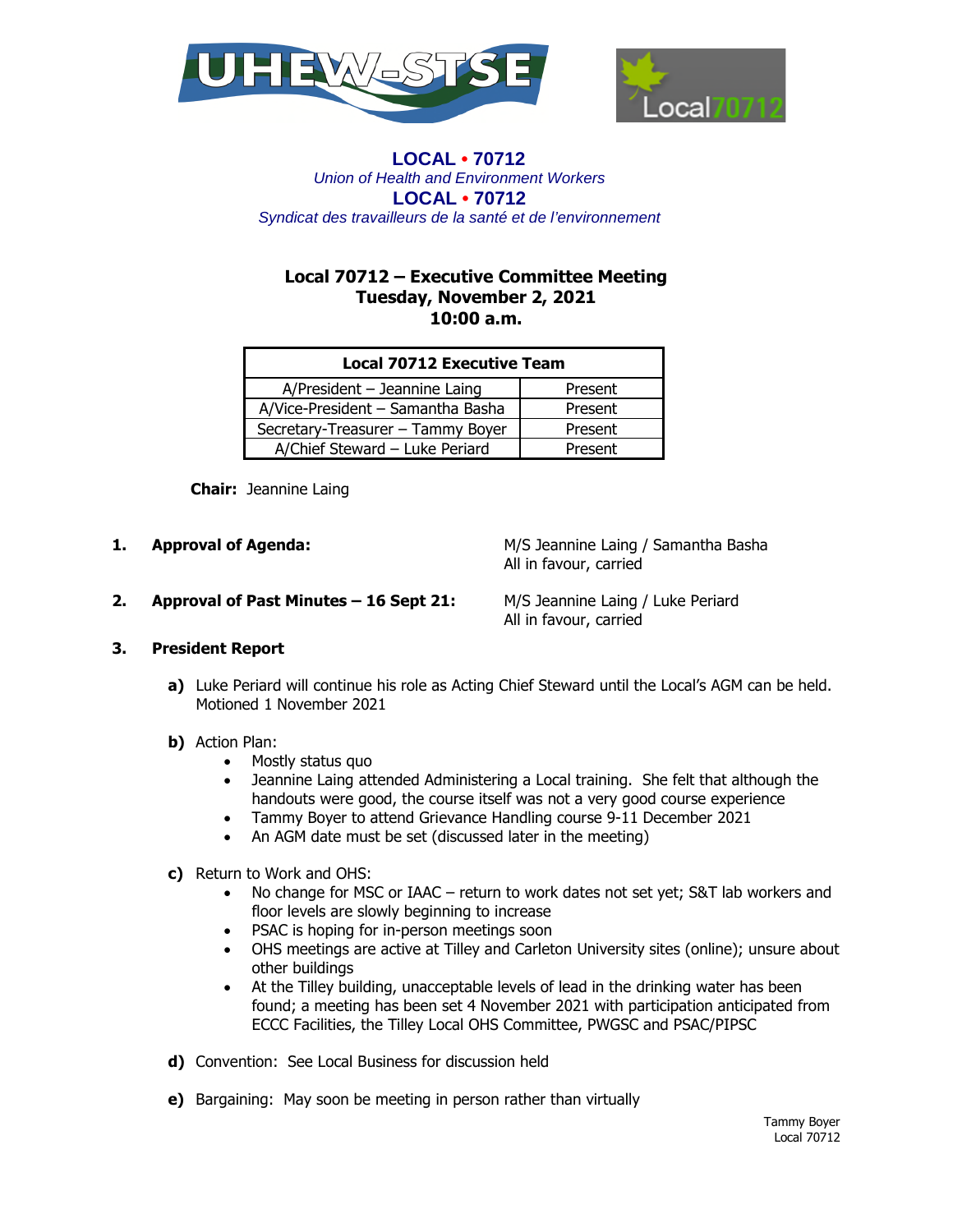



## **LOCAL • 70712** *Union of Health and Environment Workers* **LOCAL • 70712**  *Syndicat des travailleurs de la santé et de l'environnement*

# **Local 70712 – Executive Committee Meeting Tuesday, November 2, 2021 10:00 a.m.**

| <b>Local 70712 Executive Team</b> |         |
|-----------------------------------|---------|
| A/President - Jeannine Laing      | Present |
| A/Vice-President - Samantha Basha | Present |
| Secretary-Treasurer - Tammy Boyer | Present |
| A/Chief Steward - Luke Periard    | Present |

 **Chair:** Jeannine Laing

**1. Approval of Agenda:** M/S Jeannine Laing / Samantha Basha All in favour, carried

**2. Approval of Past Minutes – 16 Sept 21:** M/S Jeannine Laing / Luke Periard

All in favour, carried

# **3. President Report**

- **a)** Luke Periard will continue his role as Acting Chief Steward until the Local's AGM can be held. Motioned 1 November 2021
- **b)** Action Plan:
	- Mostly status quo
	- Jeannine Laing attended Administering a Local training. She felt that although the handouts were good, the course itself was not a very good course experience
	- Tammy Boyer to attend Grievance Handling course 9-11 December 2021
	- An AGM date must be set (discussed later in the meeting)
- **c)** Return to Work and OHS:
	- No change for MSC or IAAC return to work dates not set yet; S&T lab workers and floor levels are slowly beginning to increase
	- PSAC is hoping for in-person meetings soon
	- OHS meetings are active at Tilley and Carleton University sites (online); unsure about other buildings
	- At the Tilley building, unacceptable levels of lead in the drinking water has been found; a meeting has been set 4 November 2021 with participation anticipated from ECCC Facilities, the Tilley Local OHS Committee, PWGSC and PSAC/PIPSC
- **d)** Convention: See Local Business for discussion held
- **e)** Bargaining: May soon be meeting in person rather than virtually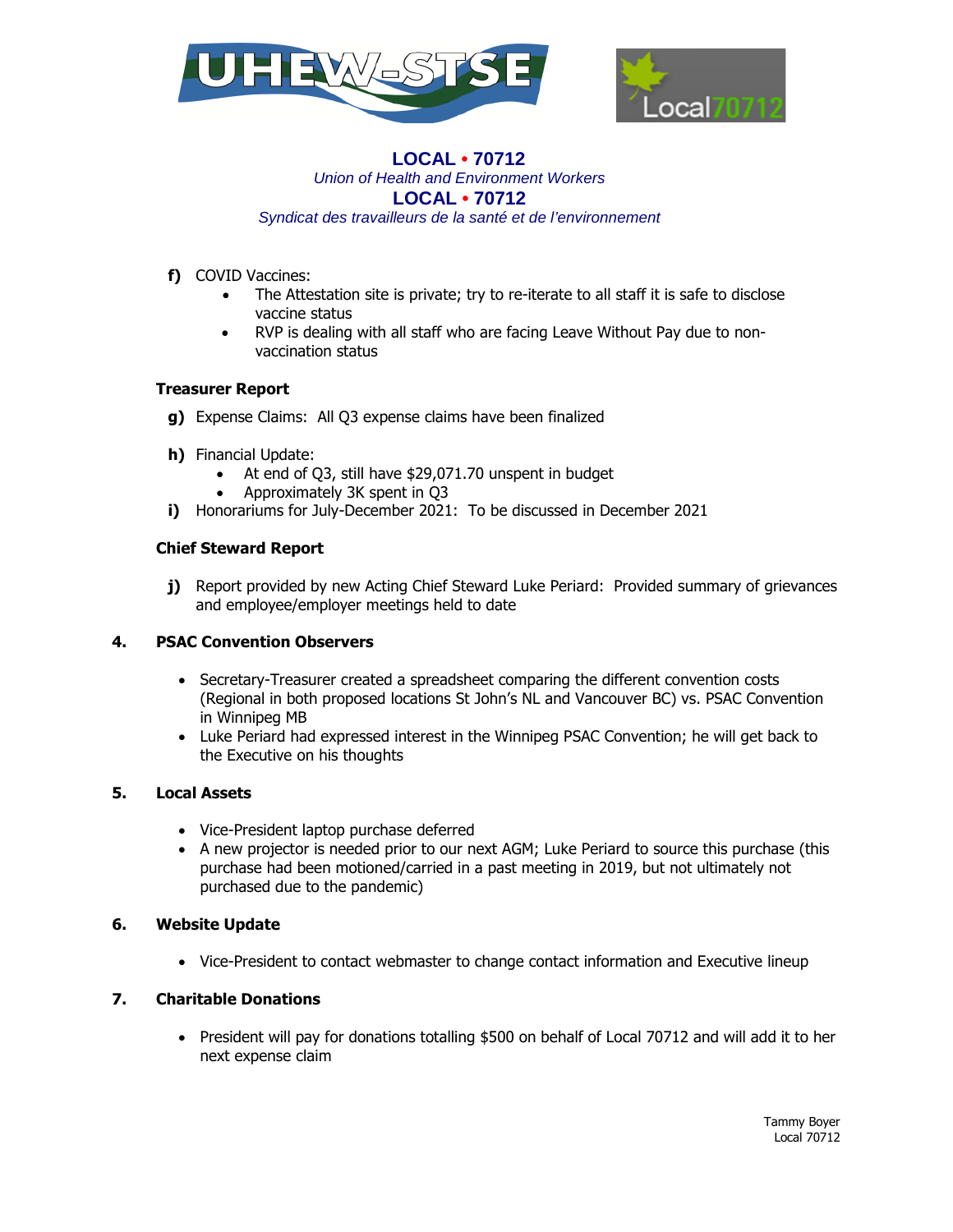



#### **LOCAL • 70712** *Union of Health and Environment Workers* **LOCAL • 70712**  *Syndicat des travailleurs de la santé et de l'environnement*

- **f)** COVID Vaccines:
	- The Attestation site is private; try to re-iterate to all staff it is safe to disclose vaccine status
	- RVP is dealing with all staff who are facing Leave Without Pay due to nonvaccination status

## **Treasurer Report**

- **g)** Expense Claims: All Q3 expense claims have been finalized
- **h)** Financial Update:
	- At end of Q3, still have \$29,071.70 unspent in budget
	- Approximately 3K spent in Q3
- **i)** Honorariums for July-December 2021: To be discussed in December 2021

## **Chief Steward Report**

**j)** Report provided by new Acting Chief Steward Luke Periard: Provided summary of grievances and employee/employer meetings held to date

#### **4. PSAC Convention Observers**

- Secretary-Treasurer created a spreadsheet comparing the different convention costs (Regional in both proposed locations St John's NL and Vancouver BC) vs. PSAC Convention in Winnipeg MB
- Luke Periard had expressed interest in the Winnipeg PSAC Convention; he will get back to the Executive on his thoughts

#### **5. Local Assets**

- Vice-President laptop purchase deferred
- A new projector is needed prior to our next AGM; Luke Periard to source this purchase (this purchase had been motioned/carried in a past meeting in 2019, but not ultimately not purchased due to the pandemic)

# **6. Website Update**

• Vice-President to contact webmaster to change contact information and Executive lineup

# **7. Charitable Donations**

• President will pay for donations totalling \$500 on behalf of Local 70712 and will add it to her next expense claim